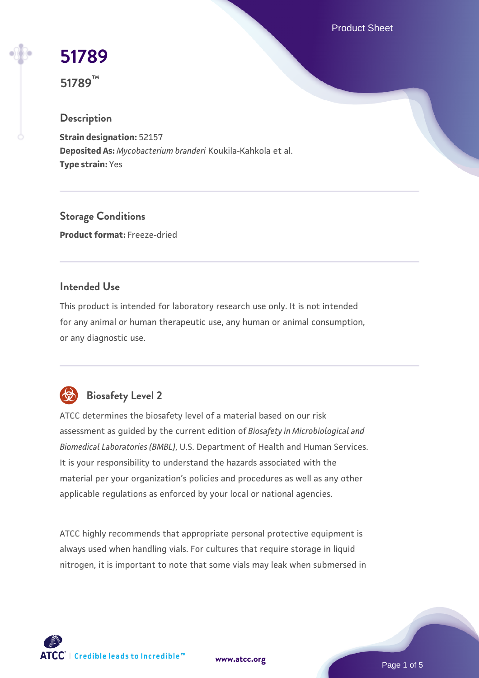Product Sheet

# **[51789](https://www.atcc.org/products/51789)**

**51789™**

# **Description**

**Strain designation:** 52157 **Deposited As:** *Mycobacterium branderi* Koukila-Kahkola et al. **Type strain:** Yes

**Storage Conditions Product format:** Freeze-dried

# **Intended Use**

This product is intended for laboratory research use only. It is not intended for any animal or human therapeutic use, any human or animal consumption, or any diagnostic use.



# **Biosafety Level 2**

ATCC determines the biosafety level of a material based on our risk assessment as guided by the current edition of *Biosafety in Microbiological and Biomedical Laboratories (BMBL)*, U.S. Department of Health and Human Services. It is your responsibility to understand the hazards associated with the material per your organization's policies and procedures as well as any other applicable regulations as enforced by your local or national agencies.

ATCC highly recommends that appropriate personal protective equipment is always used when handling vials. For cultures that require storage in liquid nitrogen, it is important to note that some vials may leak when submersed in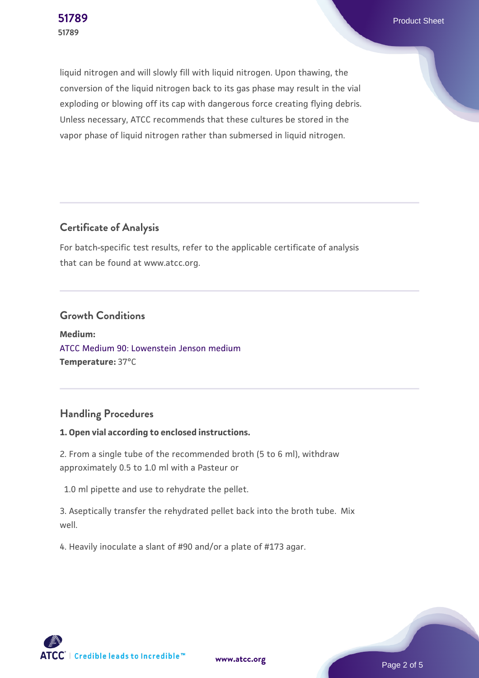**[51789](https://www.atcc.org/products/51789)** Product Sheet

liquid nitrogen and will slowly fill with liquid nitrogen. Upon thawing, the conversion of the liquid nitrogen back to its gas phase may result in the vial exploding or blowing off its cap with dangerous force creating flying debris. Unless necessary, ATCC recommends that these cultures be stored in the vapor phase of liquid nitrogen rather than submersed in liquid nitrogen.

# **Certificate of Analysis**

For batch-specific test results, refer to the applicable certificate of analysis that can be found at www.atcc.org.

#### **Growth Conditions**

**Medium:**  [ATCC Medium 90: Lowenstein Jenson medium](https://www.atcc.org/-/media/product-assets/documents/microbial-media-formulations/9/0/atcc-medium-90.pdf?rev=2af45eec61614a8e9024c1519219fe34) **Temperature:** 37°C

# **Handling Procedures**

#### **1. Open vial according to enclosed instructions.**

2. From a single tube of the recommended broth (5 to 6 ml), withdraw approximately 0.5 to 1.0 ml with a Pasteur or

1.0 ml pipette and use to rehydrate the pellet.

3. Aseptically transfer the rehydrated pellet back into the broth tube. Mix well.

4. Heavily inoculate a slant of #90 and/or a plate of #173 agar.

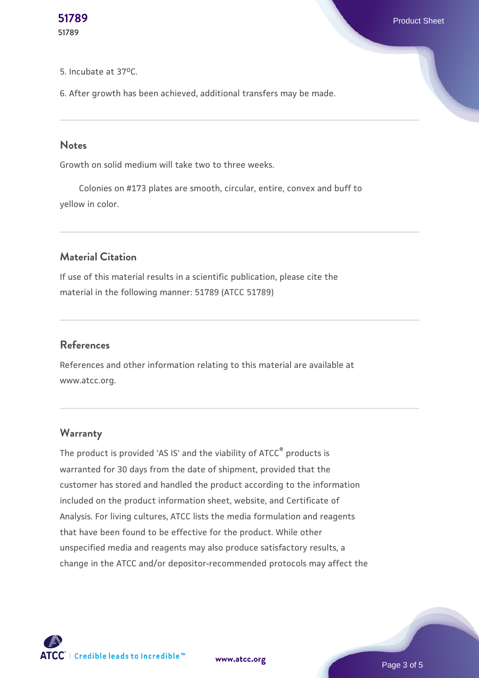#### 5. Incubate at 37oC.

6. After growth has been achieved, additional transfers may be made.

#### **Notes**

Growth on solid medium will take two to three weeks.

 Colonies on #173 plates are smooth, circular, entire, convex and buff to yellow in color.

# **Material Citation**

If use of this material results in a scientific publication, please cite the material in the following manner: 51789 (ATCC 51789)

#### **References**

References and other information relating to this material are available at www.atcc.org.

#### **Warranty**

The product is provided 'AS IS' and the viability of ATCC<sup>®</sup> products is warranted for 30 days from the date of shipment, provided that the customer has stored and handled the product according to the information included on the product information sheet, website, and Certificate of Analysis. For living cultures, ATCC lists the media formulation and reagents that have been found to be effective for the product. While other unspecified media and reagents may also produce satisfactory results, a change in the ATCC and/or depositor-recommended protocols may affect the



**[www.atcc.org](http://www.atcc.org)**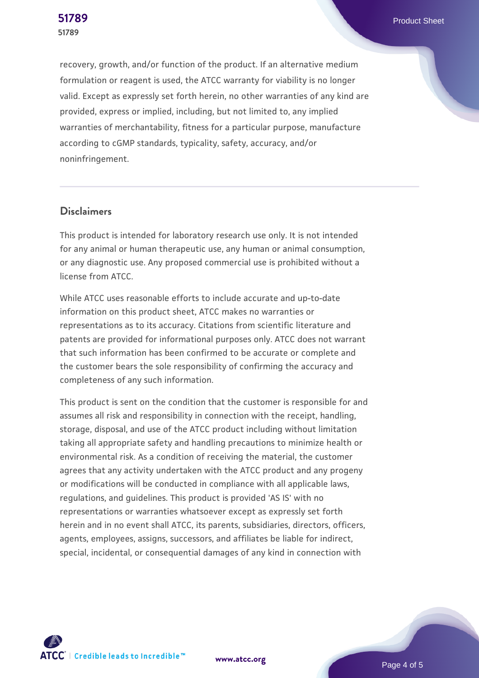recovery, growth, and/or function of the product. If an alternative medium formulation or reagent is used, the ATCC warranty for viability is no longer valid. Except as expressly set forth herein, no other warranties of any kind are provided, express or implied, including, but not limited to, any implied warranties of merchantability, fitness for a particular purpose, manufacture according to cGMP standards, typicality, safety, accuracy, and/or noninfringement.

## **Disclaimers**

This product is intended for laboratory research use only. It is not intended for any animal or human therapeutic use, any human or animal consumption, or any diagnostic use. Any proposed commercial use is prohibited without a license from ATCC.

While ATCC uses reasonable efforts to include accurate and up-to-date information on this product sheet, ATCC makes no warranties or representations as to its accuracy. Citations from scientific literature and patents are provided for informational purposes only. ATCC does not warrant that such information has been confirmed to be accurate or complete and the customer bears the sole responsibility of confirming the accuracy and completeness of any such information.

This product is sent on the condition that the customer is responsible for and assumes all risk and responsibility in connection with the receipt, handling, storage, disposal, and use of the ATCC product including without limitation taking all appropriate safety and handling precautions to minimize health or environmental risk. As a condition of receiving the material, the customer agrees that any activity undertaken with the ATCC product and any progeny or modifications will be conducted in compliance with all applicable laws, regulations, and guidelines. This product is provided 'AS IS' with no representations or warranties whatsoever except as expressly set forth herein and in no event shall ATCC, its parents, subsidiaries, directors, officers, agents, employees, assigns, successors, and affiliates be liable for indirect, special, incidental, or consequential damages of any kind in connection with